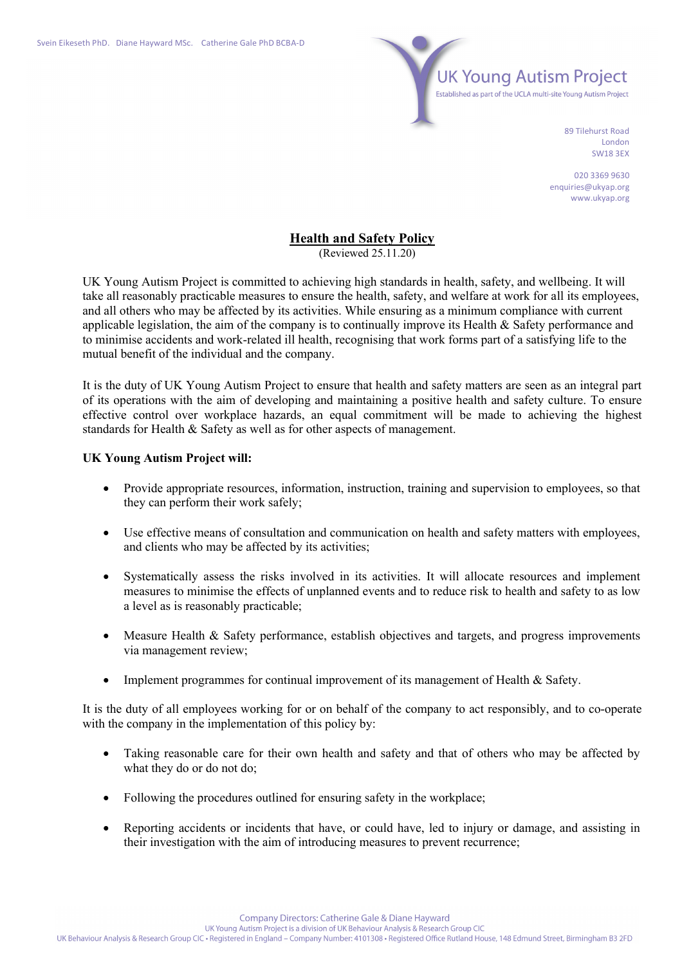

89 Tilehurst Road London SW18 3EX

020 3369 9630 enquiries@ukyap.org www.ukyap.org

## **Health and Safety Policy**

(Reviewed 25.11.20)

UK Young Autism Project is committed to achieving high standards in health, safety, and wellbeing. It will take all reasonably practicable measures to ensure the health, safety, and welfare at work for all its employees, and all others who may be affected by its activities. While ensuring as a minimum compliance with current applicable legislation, the aim of the company is to continually improve its Health & Safety performance and to minimise accidents and work-related ill health, recognising that work forms part of a satisfying life to the mutual benefit of the individual and the company.

It is the duty of UK Young Autism Project to ensure that health and safety matters are seen as an integral part of its operations with the aim of developing and maintaining a positive health and safety culture. To ensure effective control over workplace hazards, an equal commitment will be made to achieving the highest standards for Health & Safety as well as for other aspects of management.

## **UK Young Autism Project will:**

- Provide appropriate resources, information, instruction, training and supervision to employees, so that they can perform their work safely;
- Use effective means of consultation and communication on health and safety matters with employees, and clients who may be affected by its activities;
- Systematically assess the risks involved in its activities. It will allocate resources and implement measures to minimise the effects of unplanned events and to reduce risk to health and safety to as low a level as is reasonably practicable;
- Measure Health & Safety performance, establish objectives and targets, and progress improvements via management review;
- Implement programmes for continual improvement of its management of Health & Safety.

It is the duty of all employees working for or on behalf of the company to act responsibly, and to co-operate with the company in the implementation of this policy by:

- Taking reasonable care for their own health and safety and that of others who may be affected by what they do or do not do;
- Following the procedures outlined for ensuring safety in the workplace;
- Reporting accidents or incidents that have, or could have, led to injury or damage, and assisting in their investigation with the aim of introducing measures to prevent recurrence;